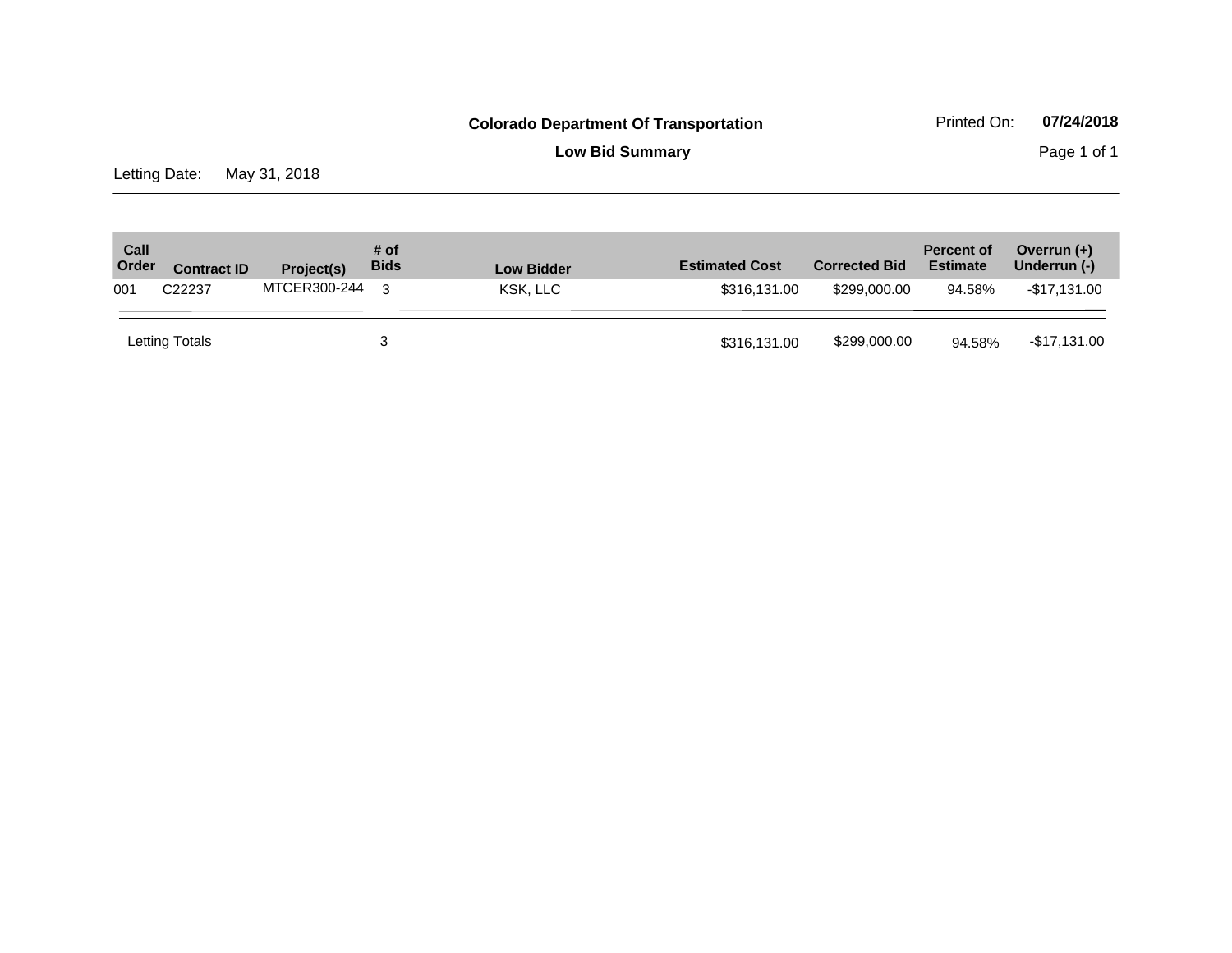**Low Bid Summary** Page 1 of 1

Letting Date: May 31, 2018

| Call<br>Order | <b>Contract ID</b> | Project(s)   | # of<br><b>Bids</b> | <b>Low Bidder</b> | <b>Estimated Cost</b> | <b>Corrected Bid</b> | <b>Percent of</b><br><b>Estimate</b> | Overrun $(+)$<br>Underrun (-) |
|---------------|--------------------|--------------|---------------------|-------------------|-----------------------|----------------------|--------------------------------------|-------------------------------|
| 001           | C22237             | MTCER300-244 | વ                   | KSK, LLC          | \$316,131,00          | \$299.000.00         | 94.58%                               | -\$17,131.00                  |
|               | Letting Totals     |              |                     |                   | \$316,131.00          | \$299,000.00         | 94.58%                               | -\$17,131.00                  |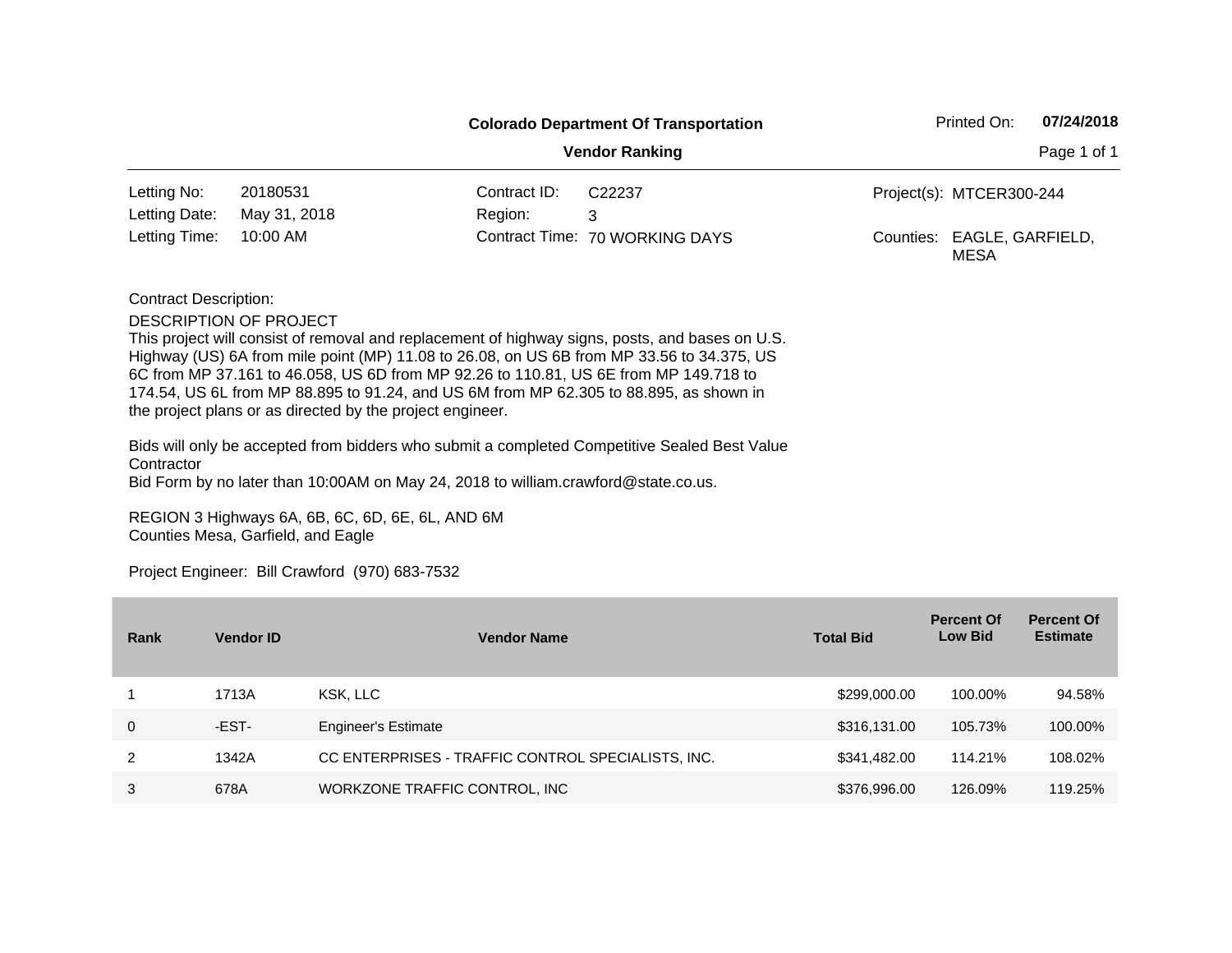|                              |                                                           |                                                                                      | <b>Colorado Department Of Transportation</b>                                                    | Printed On:                        | 07/24/2018  |
|------------------------------|-----------------------------------------------------------|--------------------------------------------------------------------------------------|-------------------------------------------------------------------------------------------------|------------------------------------|-------------|
|                              |                                                           |                                                                                      | <b>Vendor Ranking</b>                                                                           |                                    | Page 1 of 1 |
| Letting No:                  | 20180531                                                  | Contract ID:                                                                         | C <sub>22237</sub>                                                                              | Project(s): MTCER300-244           |             |
| Letting Date:                | May 31, 2018                                              | Region:                                                                              | 3                                                                                               |                                    |             |
| Letting Time:                | 10:00 AM                                                  |                                                                                      | Contract Time: 70 WORKING DAYS                                                                  | Counties: EAGLE, GARFIELD,<br>MESA |             |
| <b>Contract Description:</b> |                                                           |                                                                                      |                                                                                                 |                                    |             |
|                              | DESCRIPTION OF PROJECT                                    |                                                                                      |                                                                                                 |                                    |             |
|                              |                                                           |                                                                                      | This project will consist of removal and replacement of highway signs, posts, and bases on U.S. |                                    |             |
|                              |                                                           | 6C from MP 37.161 to 46.058, US 6D from MP 92.26 to 110.81, US 6E from MP 149.718 to | Highway (US) 6A from mile point (MP) 11.08 to 26.08, on US 6B from MP 33.56 to 34.375, US       |                                    |             |
|                              |                                                           |                                                                                      | 174.54, US 6L from MP 88.895 to 91.24, and US 6M from MP 62.305 to 88.895, as shown in          |                                    |             |
|                              | the project plans or as directed by the project engineer. |                                                                                      |                                                                                                 |                                    |             |
| Contractor                   |                                                           |                                                                                      | Bids will only be accepted from bidders who submit a completed Competitive Sealed Best Value    |                                    |             |
|                              |                                                           | Bid Form by no later than 10:00AM on May 24, 2018 to william.crawford@state.co.us.   |                                                                                                 |                                    |             |

REGION 3 Highways 6A, 6B, 6C, 6D, 6E, 6L, AND 6M Counties Mesa, Garfield, and Eagle

| Rank | <b>Vendor ID</b> | <b>Vendor Name</b>                                 | <b>Total Bid</b> | <b>Percent Of</b><br><b>Low Bid</b> | <b>Percent Of</b><br><b>Estimate</b> |
|------|------------------|----------------------------------------------------|------------------|-------------------------------------|--------------------------------------|
|      | 1713A            | KSK, LLC                                           | \$299,000.00     | 100.00%                             | 94.58%                               |
| 0    | -EST-            | <b>Engineer's Estimate</b>                         | \$316,131.00     | 105.73%                             | 100.00%                              |
| 2    | 1342A            | CC ENTERPRISES - TRAFFIC CONTROL SPECIALISTS, INC. | \$341,482.00     | 114.21%                             | 108.02%                              |
| 3    | 678A             | WORKZONE TRAFFIC CONTROL, INC                      | \$376,996.00     | 126.09%                             | 119.25%                              |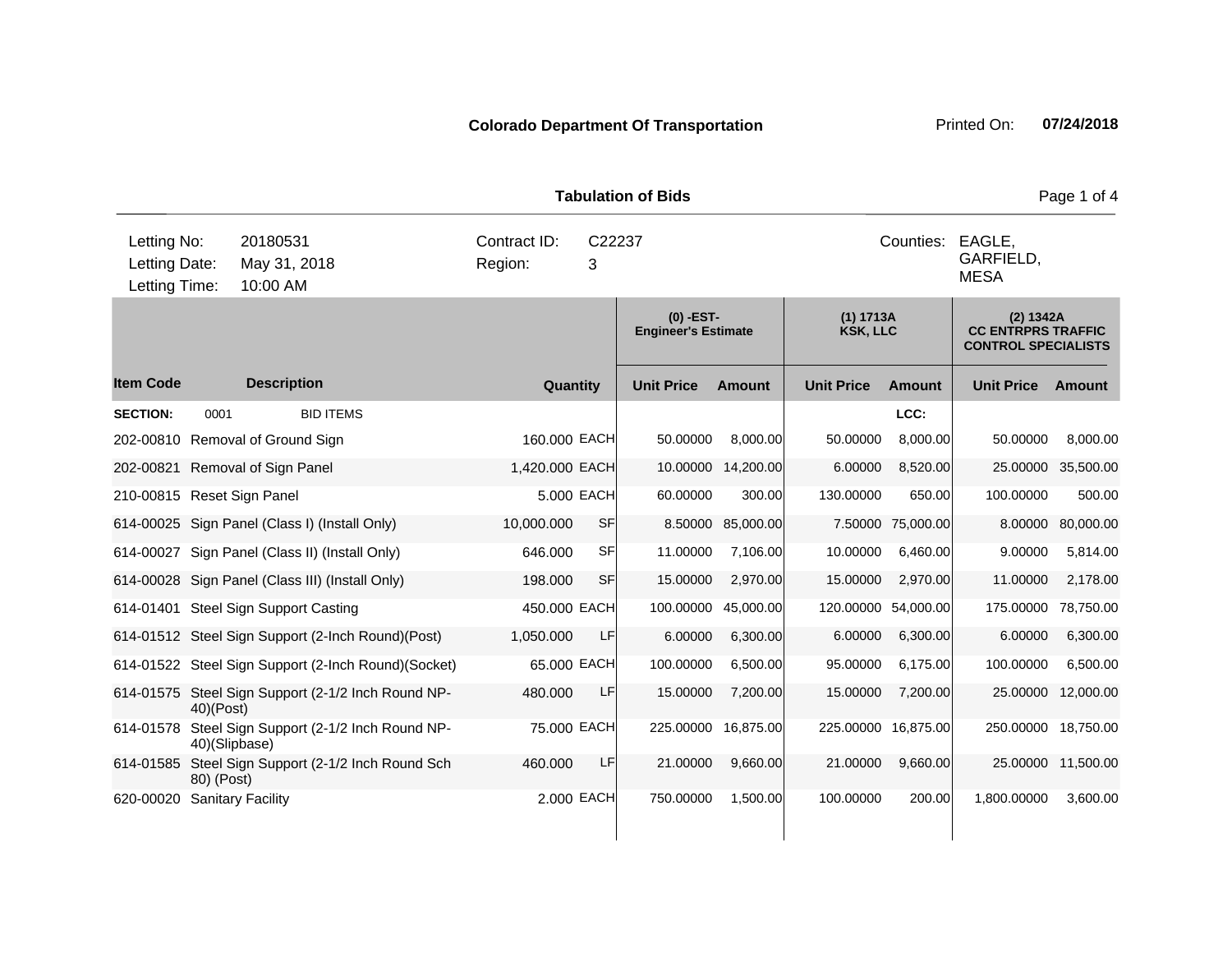**Quantity Unit Price Unit Price Ext** Item Code Description Quantity Unit Price Amount Unit Price Amount Unit Price **Ext Unit Price Amount Ext Amount (0) -EST-Engineer's Estimate (1) 1713A KSK, LLC (2) 1342A CC ENTRPRS TRAFFIC CONTROL SPECIALISTS Description SECTION:** 0001 BID ITEMS **LCC:** 202-00810 Removal of Ground Sign 160.000 EACH 50.00000 8,000.00 50.00000 8,000.00 50.00000 8,000.00 202-00821 Removal of Sign Panel 1,420.000 EACH 10.00000 14,200.00 6.00000 8,520.00 25.00000 35,500.00 210-00815 Reset Sign Panel 5.000 EACH 60.00000 300.00 130.00000 650.00 100.00000 500.00 614-00025 Sign Panel (Class I) (Install Only) 10,000.000 SF 8.50000 85,000.00 7.50000 75,000.00 8.00000 80,000.00 614-00027 Sign Panel (Class II) (Install Only) 646.000 SF 11.00000 7,106.00 10.00000 6,460.00 9.00000 5,814.00 614-00028 Sign Panel (Class III) (Install Only) 198.000 SF 15.00000 2,970.00 15.00000 2,970.00 11.00000 2,178.00 614-01401 Steel Sign Support Casting 450.000 EACH 100.00000 45,000.00 120.00000 54,000.00 175.00000 78,750.00 614-01512 Steel Sign Support (2-Inch Round)(Post) 1,050.000 LF 6.00000 6,300.00 6.00000 6,300.00 6.00000 6,300.00 614-01522 Steel Sign Support (2-Inch Round)(Socket) 65.000 EACH 100.00000 6,500.00 95.00000 6,175.00 100.00000 6,500.00 614-01575 Steel Sign Support (2-1/2 Inch Round NP-40)(Post) 480.000 LF 15.00000 7,200.00 15.00000 7,200.00 25.00000 12,000.00 614-01578 Steel Sign Support (2-1/2 Inch Round NP-40)(Slipbase) 75.000 EACH 225.00000 16,875.00 225.00000 16,875.00 250.00000 18,750.00 614-01585 Steel Sign Support (2-1/2 Inch Round Sch 80) (Post) 460.000 LF 21.00000 9,660.00 21.00000 9,660.00 25.00000 11,500.00 620-00020 Sanitary Facility 2.000 EACH 750.00000 1,500.00 100.00000 200.00 1,800.00000 3,600.00 10:00 AM Counties: EAGLE. GARFIELD, MESA Letting Date: May 31, 2018 <sup>3</sup> C22237 Region: Letting Time: Letting No: 20180531 Contract ID: Counties:

**Tabulation of Bids Page 1 of 4 Page 1 of 4**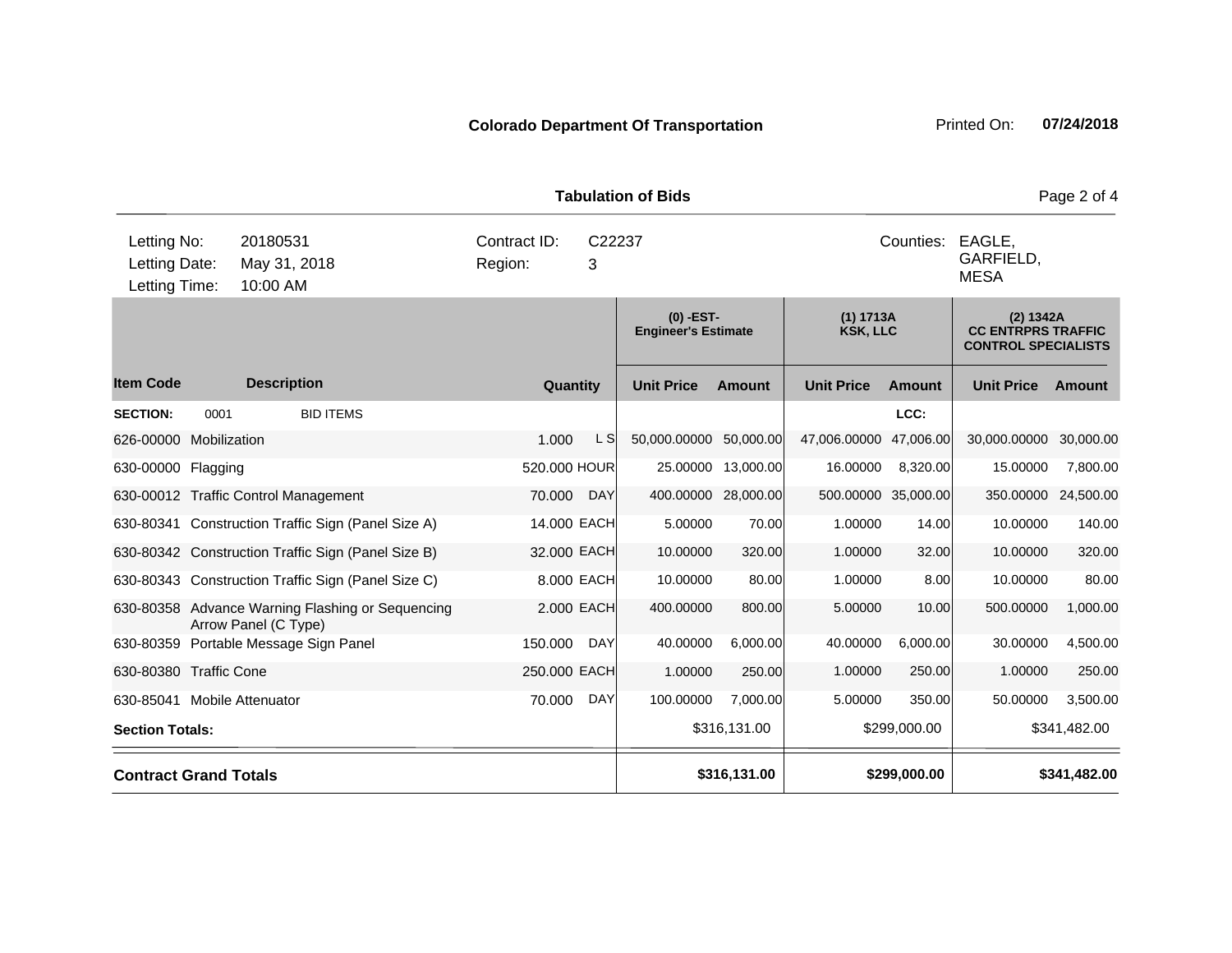**Quantity Unit Price Unit Price Ext** Item Code Description Quantity Unit Price Amount Unit Price Amount Unit Price **Ext Unit Price Amount Ext Amount (0) -EST-Engineer's Estimate (1) 1713A KSK, LLC (2) 1342A CC ENTRPRS TRAFFIC CONTROL SPECIALISTS Description SECTION:** 0001 BID ITEMS **LCC:** 626-00000 Mobilization 1.000 L S 50,000.00000 50,000.00 47,006.00000 47,006.00 30,000.00000 30,000.00 630-00000 Flagging 520.000 HOUR 25.00000 13,000.00 16.00000 8,320.00 15.00000 7,800.00 630-00012 Traffic Control Management 70.000 DAY 400.00000 28,000.00 500.00000 35,000.00 350.00000 24,500.00 630-80341 Construction Traffic Sign (Panel Size A) 14.000 EACH 5.00000 70.00 1.00000 14.00 10.00000 140.00 630-80342 Construction Traffic Sign (Panel Size B) 32.000 EACH 10.00000 320.00 1.00000 32.00 10.00000 320.00 630-80343 Construction Traffic Sign (Panel Size C) 8.000 EACH 10.00000 80.00 1.00000 8.00 10.00000 80.00 630-80358 Advance Warning Flashing or Sequencing Arrow Panel (C Type) 2.000 EACH 400.00000 800.00 5.00000 10.00 500.00000 1,000.00 630-80359 Portable Message Sign Panel 150.000 DAY 40.00000 6,000.00 40.00000 6,000.00 30.00000 4,500.00 630-80380 Traffic Cone 250.000 EACH 1.00000 250.00 1.00000 250.00 1.00000 250.00 630-85041 Mobile Attenuator 70.000 DAY 100.00000 7,000.00 5.00000 350.00 50.00000 3,500.00 **Section Totals: \$316,131.00 \$299,000.00 \$341,482.00 Contract Grand Totals \$316,131.00 \$299,000.00 \$341,482.00** 10:00 AM Counties: EAGLE. GARFIELD, MESA Letting Date: May 31, 2018 <sup>3</sup> C22237 Region: Letting Time: Letting No: 20180531 Contract ID: Counties:

**Tabulation of Bids** Page 2 of 4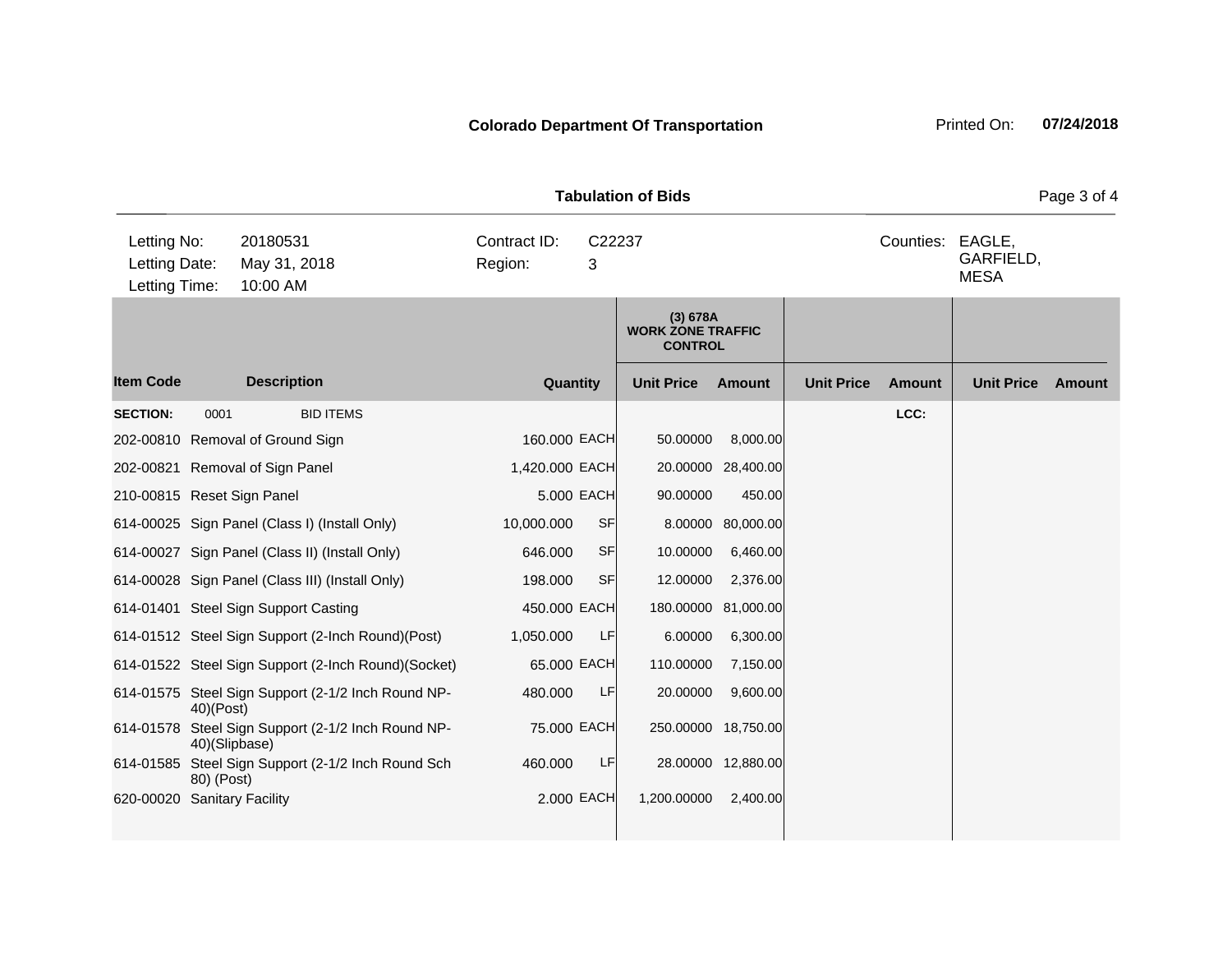|                                               |              |                                                           |                         |              | <b>Tabulation of Bids</b>                              |                     |                   |                  |                          | Page 3 of 4 |
|-----------------------------------------------|--------------|-----------------------------------------------------------|-------------------------|--------------|--------------------------------------------------------|---------------------|-------------------|------------------|--------------------------|-------------|
| Letting No:<br>Letting Date:<br>Letting Time: |              | 20180531<br>May 31, 2018<br>10:00 AM                      | Contract ID:<br>Region: | 3            | C22237                                                 |                     |                   | Counties: EAGLE, | GARFIELD,<br><b>MESA</b> |             |
|                                               |              |                                                           |                         |              | (3) 678A<br><b>WORK ZONE TRAFFIC</b><br><b>CONTROL</b> |                     |                   |                  |                          |             |
| <b>Item Code</b>                              |              | <b>Description</b>                                        |                         | Quantity     | <b>Unit Price</b>                                      | Amount              | <b>Unit Price</b> | Amount           | <b>Unit Price</b>        | Amount      |
| <b>SECTION:</b>                               | 0001         | <b>BID ITEMS</b>                                          |                         |              |                                                        |                     |                   | LCC:             |                          |             |
|                                               |              | 202-00810 Removal of Ground Sign                          |                         | 160.000 EACH | 50.00000                                               | 8,000.00            |                   |                  |                          |             |
|                                               |              | 202-00821 Removal of Sign Panel                           | 1,420.000 EACH          |              |                                                        | 20.00000 28,400.00  |                   |                  |                          |             |
| 210-00815 Reset Sign Panel                    |              |                                                           |                         | 5.000 EACH   | 90.00000                                               | 450.00              |                   |                  |                          |             |
|                                               |              | 614-00025 Sign Panel (Class I) (Install Only)             | 10,000.000              | <b>SF</b>    | 8.00000                                                | 80,000.00           |                   |                  |                          |             |
|                                               |              | 614-00027 Sign Panel (Class II) (Install Only)            | 646.000                 | <b>SF</b>    | 10.00000                                               | 6,460.00            |                   |                  |                          |             |
|                                               |              | 614-00028 Sign Panel (Class III) (Install Only)           | 198.000                 | <b>SF</b>    | 12.00000                                               | 2,376.00            |                   |                  |                          |             |
|                                               |              | 614-01401 Steel Sign Support Casting                      |                         | 450.000 EACH | 180.00000                                              | 81,000.00           |                   |                  |                          |             |
|                                               |              | 614-01512 Steel Sign Support (2-Inch Round)(Post)         | 1,050.000               | LF           | 6.00000                                                | 6,300.00            |                   |                  |                          |             |
|                                               |              | 614-01522 Steel Sign Support (2-Inch Round)(Socket)       |                         | 65.000 EACH  | 110.00000                                              | 7,150.00            |                   |                  |                          |             |
|                                               | $40)$ (Post) | 614-01575 Steel Sign Support (2-1/2 Inch Round NP-        | 480.000                 | LF           | 20.00000                                               | 9,600.00            |                   |                  |                          |             |
| 614-01578                                     |              | Steel Sign Support (2-1/2 Inch Round NP-<br>40)(Slipbase) |                         | 75.000 EACH  |                                                        | 250.00000 18,750.00 |                   |                  |                          |             |
| 614-01585                                     | 80) (Post)   | Steel Sign Support (2-1/2 Inch Round Sch                  | 460.000                 | LF           |                                                        | 28.00000 12,880.00  |                   |                  |                          |             |
| 620-00020                                     |              | <b>Sanitary Facility</b>                                  |                         | 2.000 EACH   | 1,200.00000                                            | 2,400.00            |                   |                  |                          |             |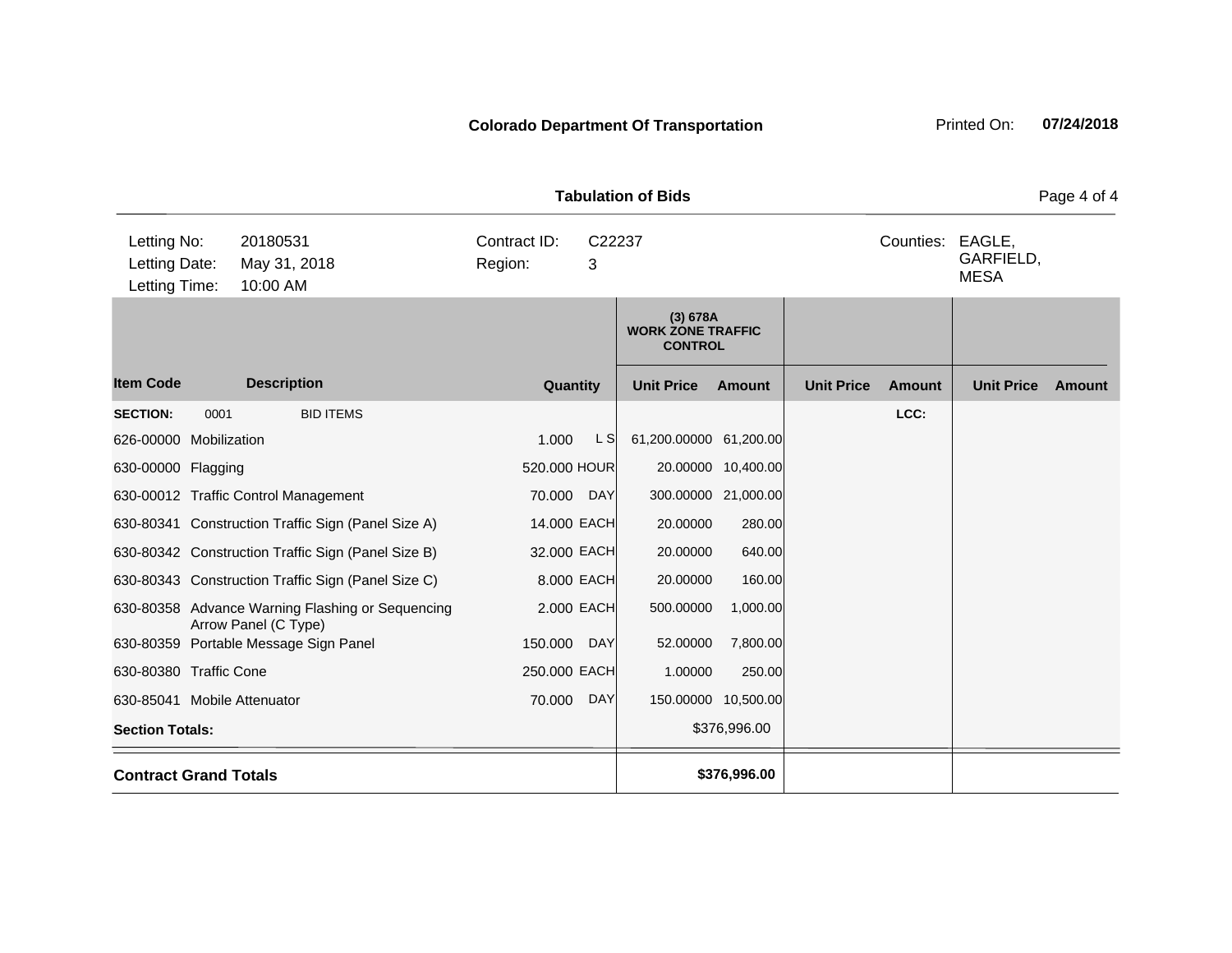**Quantity Unit Price Unit Price Item Code Amount Unit Price Amount Ext Ext Unit Price Amount Ext (3) 678A WORK ZONE TRAFFIC CONTROL Description SECTION:** 0001 BID ITEMS **LCC:** 626-00000 Mobilization 1.000 L S 61,200.00000 61,200.00 630-00000 Flagging 600 Control Control of the 520.000 HOUR 20.00000 10,400.00 630-00012 Traffic Control Management 70.000 DAY 300.00000 21,000.00 630-80341 Construction Traffic Sign (Panel Size A) 14.000 EACH 20.00000 280.00 630-80342 Construction Traffic Sign (Panel Size B) 32.000 EACH 20.00000 640.00 630-80343 Construction Traffic Sign (Panel Size C) 8.000 EACH 20.00000 160.00 630-80358 Advance Warning Flashing or Sequencing Arrow Panel (C Type) 2.000 EACH 500.00000 1,000.00 630-80359 Portable Message Sign Panel 150.000 DAY 52.00000 7,800.00 630-80380 Traffic Cone 250.000 EACH 1.00000 250.00 630-85041 Mobile Attenuator 70.000 DAY 150.00000 10,500.00 **Section Totals:**  $\bullet$  **Section Totals:**  $\bullet$  **S376,996.00 Contract Grand Totals \$376,996.00** 10:00 AM Counties: EAGLE. GARFIELD, MESA Letting Date: May 31, 2018 <sup>3</sup> C22237 Region: Letting Time: Letting No: 20180531 Contract ID: Counties:

**Tabulation of Bids** Page 4 of 4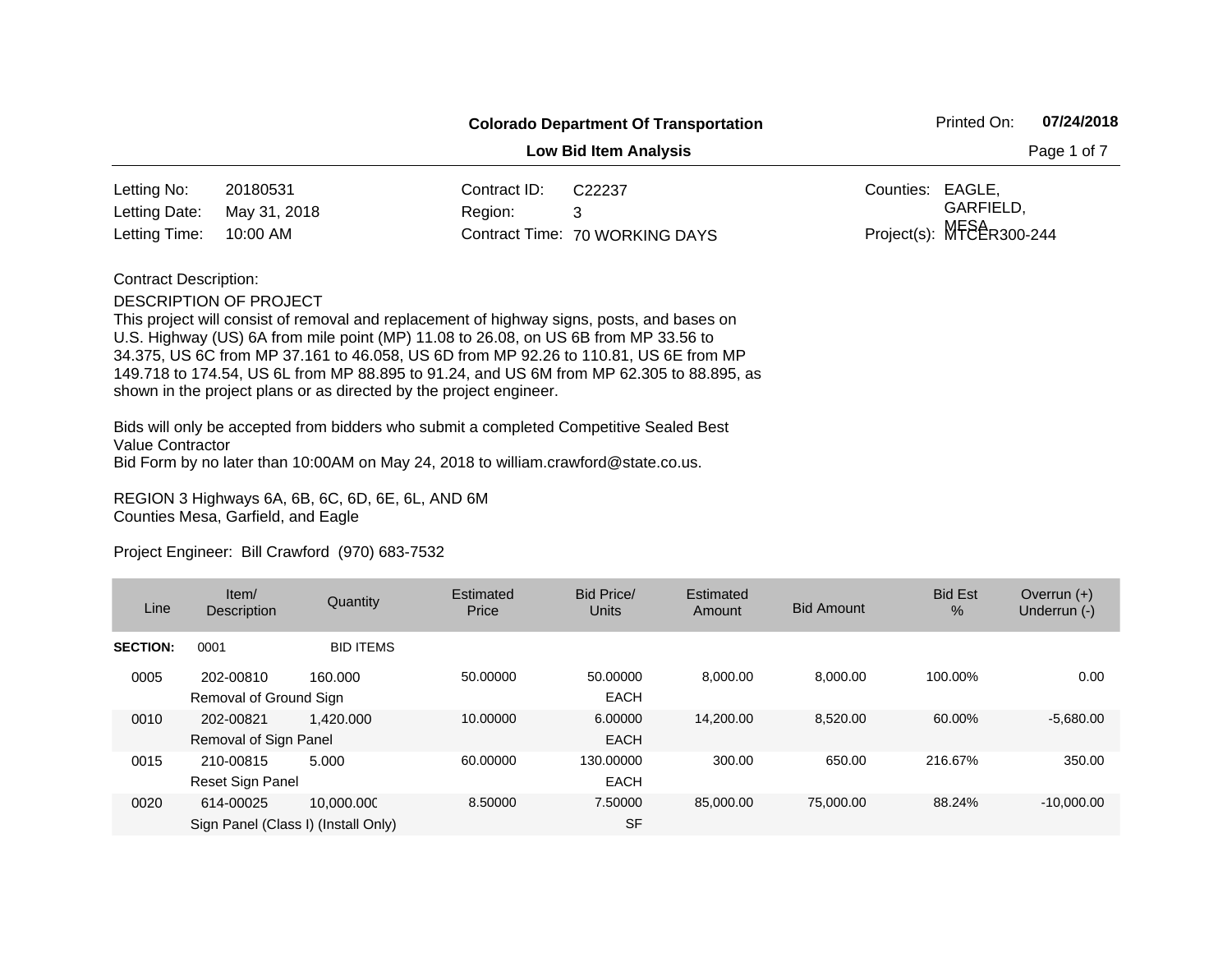| <b>Colorado Department Of Transportation</b> | Printed On: | 07/24/2018 |
|----------------------------------------------|-------------|------------|
|----------------------------------------------|-------------|------------|

**Low Bid Item Analysis Page 1 of 7 Page 1 of 7** 

| Letting No:                | 20180531 | Contract ID: | C22237                         | Counties: EAGLE. |                            |
|----------------------------|----------|--------------|--------------------------------|------------------|----------------------------|
| Letting Date: May 31, 2018 |          | Region: 3    |                                |                  | GARFIELD.                  |
| Letting Time: 10:00 AM     |          |              | Contract Time: 70 WORKING DAYS |                  | $Project(s): MFEER300-244$ |

Contract Description:

DESCRIPTION OF PROJECT

This project will consist of removal and replacement of highway signs, posts, and bases on U.S. Highway (US) 6A from mile point (MP) 11.08 to 26.08, on US 6B from MP 33.56 to 34.375, US 6C from MP 37.161 to 46.058, US 6D from MP 92.26 to 110.81, US 6E from MP 149.718 to 174.54, US 6L from MP 88.895 to 91.24, and US 6M from MP 62.305 to 88.895, as shown in the project plans or as directed by the project engineer.

Bids will only be accepted from bidders who submit a completed Competitive Sealed Best Value Contractor Bid Form by no later than 10:00AM on May 24, 2018 to william.crawford@state.co.us.

REGION 3 Highways 6A, 6B, 6C, 6D, 6E, 6L, AND 6M Counties Mesa, Garfield, and Eagle

| Line            | Item/<br><b>Description</b>                      | Quantity         | Estimated<br>Price | Bid Price/<br>Units      | Estimated<br>Amount | <b>Bid Amount</b> | <b>Bid Est</b><br>% | Overrun $(+)$<br>Underrun (-) |
|-----------------|--------------------------------------------------|------------------|--------------------|--------------------------|---------------------|-------------------|---------------------|-------------------------------|
| <b>SECTION:</b> | 0001                                             | <b>BID ITEMS</b> |                    |                          |                     |                   |                     |                               |
| 0005            | 202-00810<br>Removal of Ground Sign              | 160.000          | 50.00000           | 50.00000<br><b>EACH</b>  | 8.000.00            | 8.000.00          | 100.00%             | 0.00                          |
| 0010            | 202-00821<br>Removal of Sign Panel               | 1.420.000        | 10.00000           | 6.00000<br><b>EACH</b>   | 14.200.00           | 8,520.00          | 60.00%              | $-5,680.00$                   |
| 0015            | 210-00815<br>Reset Sign Panel                    | 5.000            | 60.00000           | 130.00000<br><b>EACH</b> | 300.00              | 650.00            | 216.67%             | 350.00                        |
| 0020            | 614-00025<br>Sign Panel (Class I) (Install Only) | 10.000.000       | 8.50000            | 7.50000<br><b>SF</b>     | 85,000,00           | 75,000,00         | 88.24%              | $-10.000.00$                  |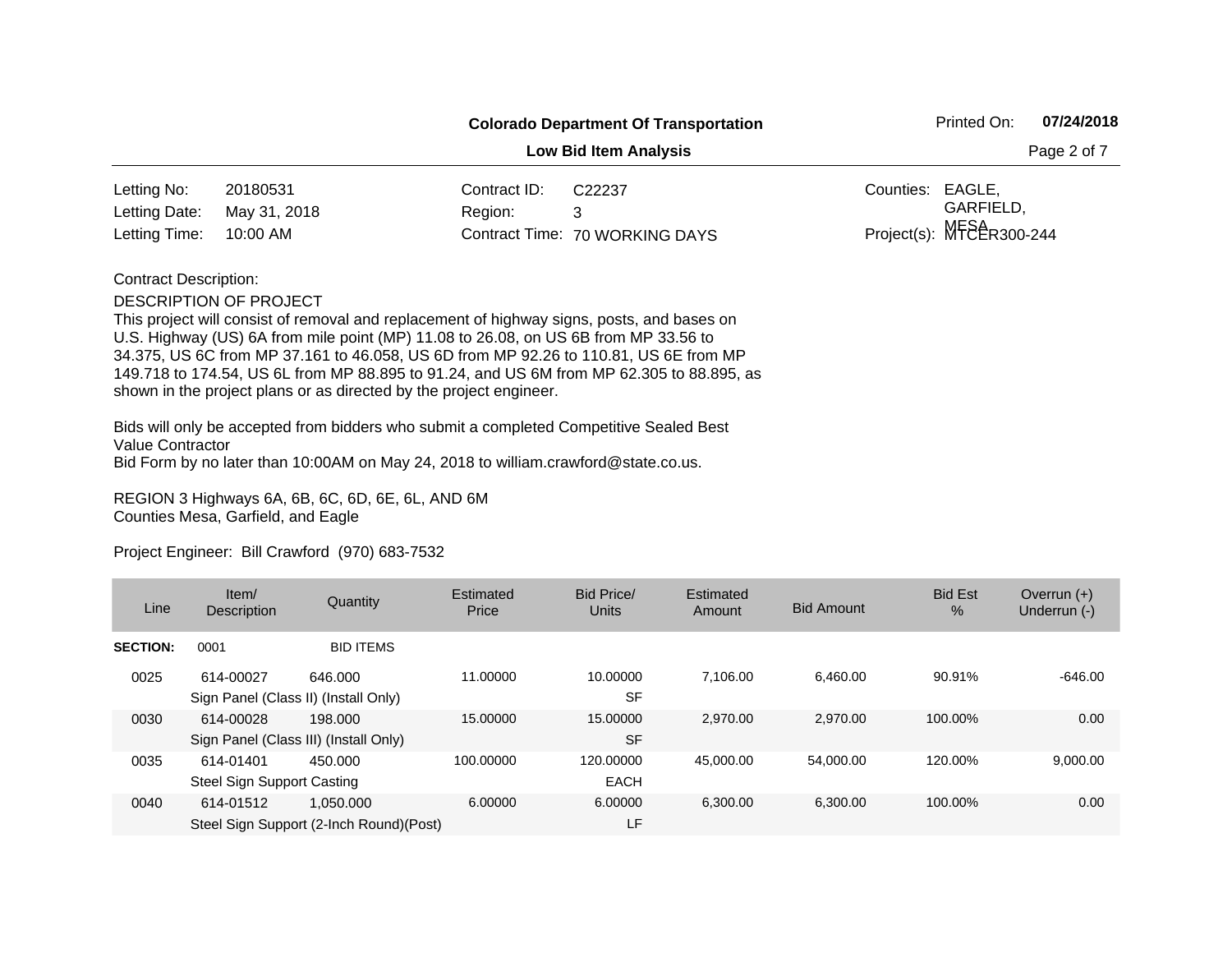| <b>Colorado Department Of Transportation</b> | Printed On: | 07/24/2018 |
|----------------------------------------------|-------------|------------|
|----------------------------------------------|-------------|------------|

**Low Bid Item Analysis Page 2 of 7 Page 2 of 7** 

| Letting No:                | 20180531 | Contract ID: | C22237                         | Counties: EAGLE. |                            |
|----------------------------|----------|--------------|--------------------------------|------------------|----------------------------|
| Letting Date: May 31, 2018 |          | Region: 3    |                                |                  | GARFIELD.                  |
| Letting Time: 10:00 AM     |          |              | Contract Time: 70 WORKING DAYS |                  | Project(s): $MFEER300-244$ |

### Contract Description:

#### DESCRIPTION OF PROJECT

This project will consist of removal and replacement of highway signs, posts, and bases on U.S. Highway (US) 6A from mile point (MP) 11.08 to 26.08, on US 6B from MP 33.56 to 34.375, US 6C from MP 37.161 to 46.058, US 6D from MP 92.26 to 110.81, US 6E from MP 149.718 to 174.54, US 6L from MP 88.895 to 91.24, and US 6M from MP 62.305 to 88.895, as shown in the project plans or as directed by the project engineer.

Bids will only be accepted from bidders who submit a completed Competitive Sealed Best Value Contractor Bid Form by no later than 10:00AM on May 24, 2018 to william.crawford@state.co.us.

REGION 3 Highways 6A, 6B, 6C, 6D, 6E, 6L, AND 6M Counties Mesa, Garfield, and Eagle

| Line            | Item/<br>Description                               | Quantity                                              | Estimated<br>Price | Bid Price/<br>Units      | Estimated<br>Amount | <b>Bid Amount</b> | <b>Bid Est</b><br>$\%$ | Overrun $(+)$<br>Underrun (-) |
|-----------------|----------------------------------------------------|-------------------------------------------------------|--------------------|--------------------------|---------------------|-------------------|------------------------|-------------------------------|
| <b>SECTION:</b> | 0001                                               | <b>BID ITEMS</b>                                      |                    |                          |                     |                   |                        |                               |
| 0025            | 614-00027<br>Sign Panel (Class II) (Install Only)  | 646,000                                               | 11.00000           | 10.00000<br><b>SF</b>    | 7.106.00            | 6.460.00          | 90.91%                 | $-646.00$                     |
| 0030            | 614-00028<br>Sign Panel (Class III) (Install Only) | 198,000                                               | 15.00000           | 15.00000<br><b>SF</b>    | 2,970.00            | 2.970.00          | 100.00%                | 0.00                          |
| 0035            | 614-01401<br>Steel Sign Support Casting            | 450.000                                               | 100.00000          | 120.00000<br><b>EACH</b> | 45.000.00           | 54.000.00         | 120.00%                | 9,000.00                      |
| 0040            | 614-01512                                          | 1.050.000<br>Steel Sign Support (2-Inch Round) (Post) | 6.00000            | 6.00000<br>LF.           | 6.300.00            | 6,300.00          | 100.00%                | 0.00                          |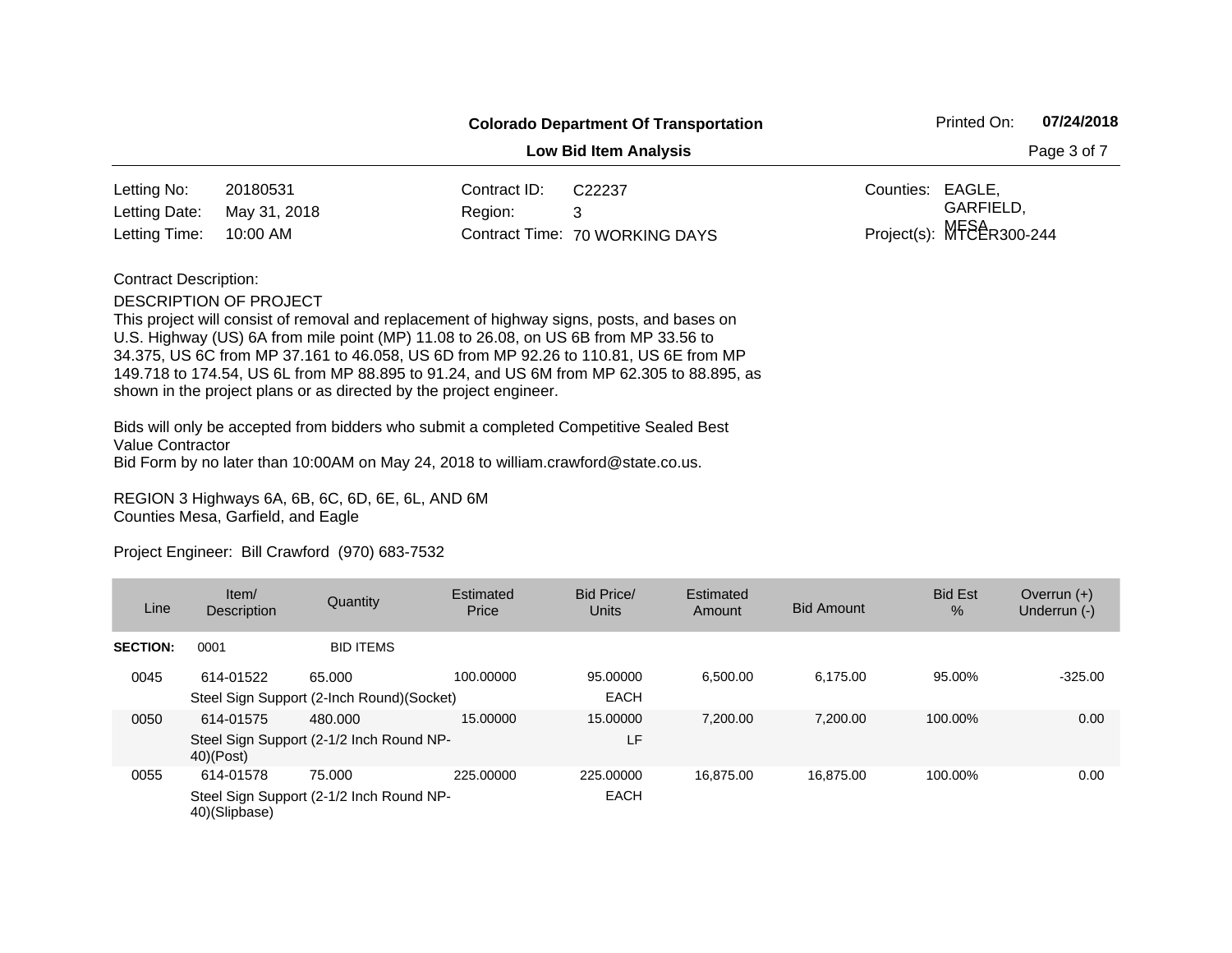| <b>Colorado Department Of Transportation</b> |  |
|----------------------------------------------|--|
|----------------------------------------------|--|

**Low Bid Item Analysis** 

| Page 3 of 7 |  |  |  |
|-------------|--|--|--|
|-------------|--|--|--|

| Letting No:                | 20180531 | Contract ID: | C22237                         | Counties: EAGLE, |                             |
|----------------------------|----------|--------------|--------------------------------|------------------|-----------------------------|
| Letting Date: May 31, 2018 |          | Region: 3    |                                |                  | GARFIELD,                   |
| Letting Time: 10:00 AM     |          |              | Contract Time: 70 WORKING DAYS |                  | Project(s): $MFE\&R300-244$ |

Contract Description:

DESCRIPTION OF PROJECT

This project will consist of removal and replacement of highway signs, posts, and bases on U.S. Highway (US) 6A from mile point (MP) 11.08 to 26.08, on US 6B from MP 33.56 to 34.375, US 6C from MP 37.161 to 46.058, US 6D from MP 92.26 to 110.81, US 6E from MP 149.718 to 174.54, US 6L from MP 88.895 to 91.24, and US 6M from MP 62.305 to 88.895, as shown in the project plans or as directed by the project engineer.

Bids will only be accepted from bidders who submit a completed Competitive Sealed Best Value Contractor Bid Form by no later than 10:00AM on May 24, 2018 to william.crawford@state.co.us.

REGION 3 Highways 6A, 6B, 6C, 6D, 6E, 6L, AND 6M Counties Mesa, Garfield, and Eagle

| Line            | Item/<br>Description       | Quantity                                             | Estimated<br>Price | <b>Bid Price/</b><br>Units | Estimated<br>Amount | <b>Bid Amount</b> | <b>Bid Est</b><br>$\%$ | Overrun $(+)$<br>Underrun (-) |
|-----------------|----------------------------|------------------------------------------------------|--------------------|----------------------------|---------------------|-------------------|------------------------|-------------------------------|
| <b>SECTION:</b> | 0001                       | <b>BID ITEMS</b>                                     |                    |                            |                     |                   |                        |                               |
| 0045            | 614-01522                  | 65.000<br>Steel Sign Support (2-Inch Round) (Socket) | 100.00000          | 95,00000<br><b>EACH</b>    | 6.500.00            | 6.175.00          | 95.00%                 | $-325.00$                     |
| 0050            | 614-01575<br>$40)$ (Post)  | 480.000<br>Steel Sign Support (2-1/2 Inch Round NP-  | 15.00000           | 15.00000<br>LF             | 7.200.00            | 7.200.00          | 100.00%                | 0.00                          |
| 0055            | 614-01578<br>40)(Slipbase) | 75,000<br>Steel Sign Support (2-1/2 Inch Round NP-   | 225,00000          | 225.00000<br><b>EACH</b>   | 16.875.00           | 16.875.00         | 100.00%                | 0.00                          |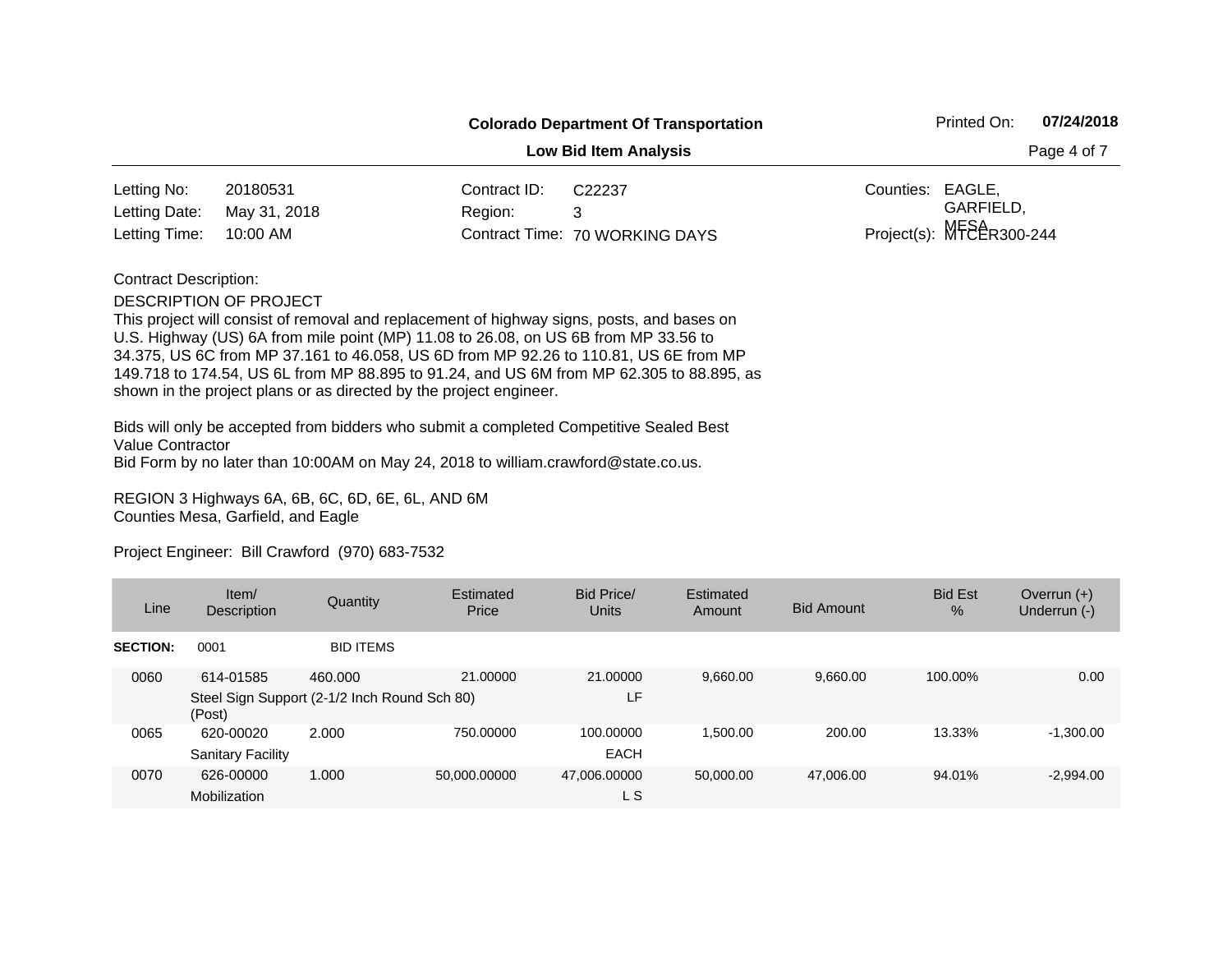| <b>Colorado Department Of Transportation</b> | Printed On: | 07/24/2018 |
|----------------------------------------------|-------------|------------|
|----------------------------------------------|-------------|------------|

**Low Bid Item Analysis Page 4 of 7 Page 4 of 7** 

| Letting No:                | 20180531 | Contract ID: | C22237                         | Counties: EAGLE. |                            |
|----------------------------|----------|--------------|--------------------------------|------------------|----------------------------|
| Letting Date: May 31, 2018 |          | Region:      |                                |                  | GARFIELD.                  |
| Letting Time: 10:00 AM     |          |              | Contract Time: 70 WORKING DAYS |                  | Project(s): $MFEER300-244$ |

Contract Description:

DESCRIPTION OF PROJECT

This project will consist of removal and replacement of highway signs, posts, and bases on U.S. Highway (US) 6A from mile point (MP) 11.08 to 26.08, on US 6B from MP 33.56 to 34.375, US 6C from MP 37.161 to 46.058, US 6D from MP 92.26 to 110.81, US 6E from MP 149.718 to 174.54, US 6L from MP 88.895 to 91.24, and US 6M from MP 62.305 to 88.895, as shown in the project plans or as directed by the project engineer.

Bids will only be accepted from bidders who submit a completed Competitive Sealed Best Value Contractor Bid Form by no later than 10:00AM on May 24, 2018 to william.crawford@state.co.us.

REGION 3 Highways 6A, 6B, 6C, 6D, 6E, 6L, AND 6M Counties Mesa, Garfield, and Eagle

| Line            | Item/<br>Description                  | Quantity                                                | Estimated<br>Price | Bid Price/<br><b>Units</b> | Estimated<br>Amount | <b>Bid Amount</b> | <b>Bid Est</b><br>$\%$ | Overrun $(+)$<br>Underrun (-) |
|-----------------|---------------------------------------|---------------------------------------------------------|--------------------|----------------------------|---------------------|-------------------|------------------------|-------------------------------|
| <b>SECTION:</b> | 0001                                  | <b>BID ITEMS</b>                                        |                    |                            |                     |                   |                        |                               |
| 0060            | 614-01585<br>(Post)                   | 460.000<br>Steel Sign Support (2-1/2 Inch Round Sch 80) | 21.00000           | 21.00000<br>LF             | 9.660.00            | 9,660.00          | 100.00%                | 0.00                          |
| 0065            | 620-00020<br><b>Sanitary Facility</b> | 2.000                                                   | 750.00000          | 100.00000<br><b>EACH</b>   | 1,500.00            | 200.00            | 13.33%                 | $-1,300.00$                   |
| 0070            | 626-00000<br>Mobilization             | 1.000                                                   | 50,000.00000       | 47,006.00000<br>L S        | 50.000.00           | 47,006.00         | 94.01%                 | $-2,994.00$                   |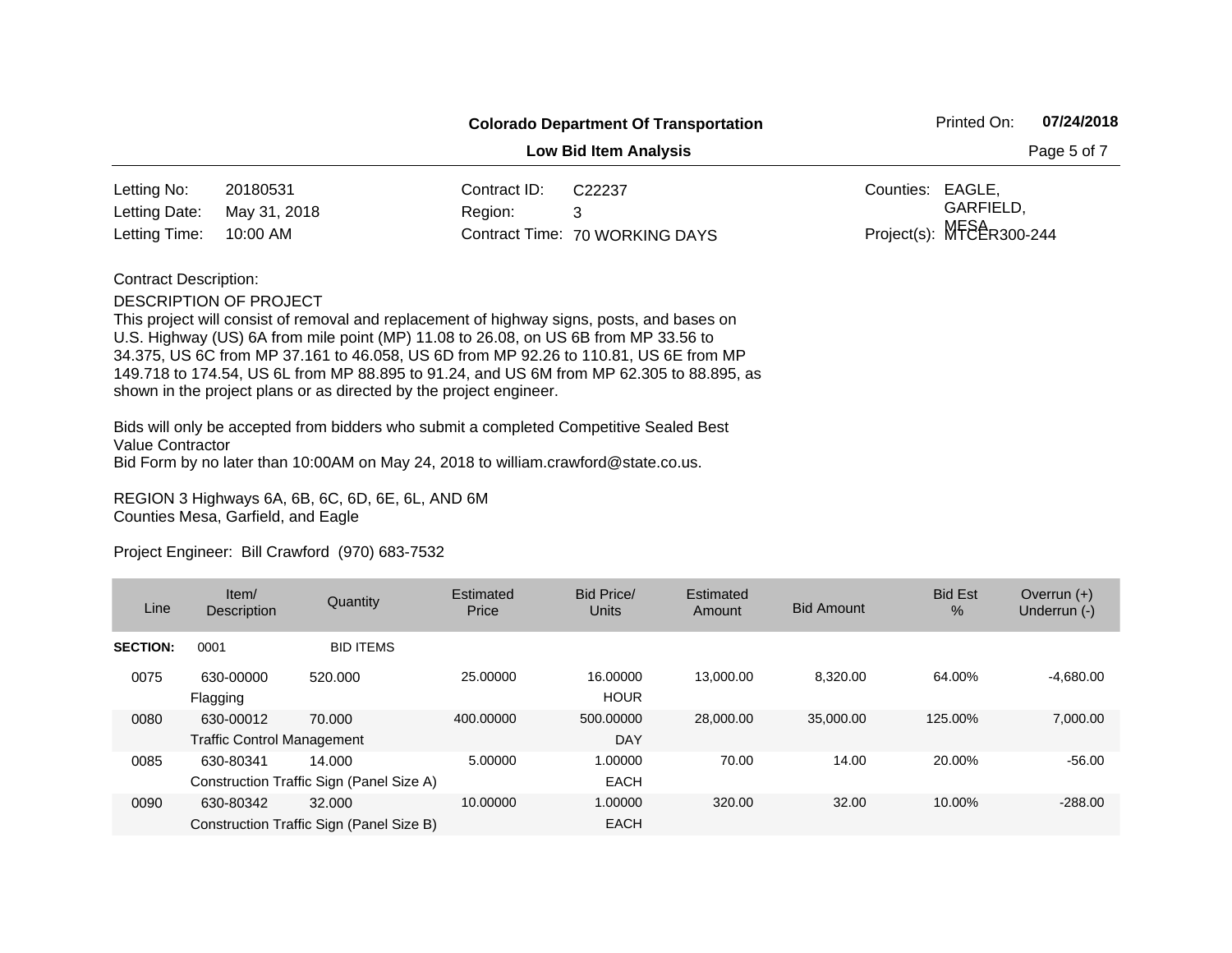| <b>Colorado Department Of Transportation</b> |  |
|----------------------------------------------|--|
|----------------------------------------------|--|

**Low Bid Item Analysis** 

| Page 5 of 7 |  |
|-------------|--|
|-------------|--|

| Letting No:                | 20180531 | Contract ID: | C22237                         | Counties: EAGLE. |                            |
|----------------------------|----------|--------------|--------------------------------|------------------|----------------------------|
| Letting Date: May 31, 2018 |          | Region: 3    |                                |                  | GARFIELD.                  |
| Letting Time: 10:00 AM     |          |              | Contract Time: 70 WORKING DAYS |                  | Project(s): $MFEER300-244$ |

## Contract Description:

#### DESCRIPTION OF PROJECT

This project will consist of removal and replacement of highway signs, posts, and bases on U.S. Highway (US) 6A from mile point (MP) 11.08 to 26.08, on US 6B from MP 33.56 to 34.375, US 6C from MP 37.161 to 46.058, US 6D from MP 92.26 to 110.81, US 6E from MP 149.718 to 174.54, US 6L from MP 88.895 to 91.24, and US 6M from MP 62.305 to 88.895, as shown in the project plans or as directed by the project engineer.

Bids will only be accepted from bidders who submit a completed Competitive Sealed Best Value Contractor Bid Form by no later than 10:00AM on May 24, 2018 to william.crawford@state.co.us.

REGION 3 Highways 6A, 6B, 6C, 6D, 6E, 6L, AND 6M Counties Mesa, Garfield, and Eagle

| Line            | Item/<br><b>Description</b>                    | Quantity                                           | Estimated<br>Price | Bid Price/<br>Units     | Estimated<br>Amount | <b>Bid Amount</b> | <b>Bid Est</b><br>$\%$ | Overrun $(+)$<br>Underrun (-) |
|-----------------|------------------------------------------------|----------------------------------------------------|--------------------|-------------------------|---------------------|-------------------|------------------------|-------------------------------|
| <b>SECTION:</b> | 0001                                           | <b>BID ITEMS</b>                                   |                    |                         |                     |                   |                        |                               |
| 0075            | 630-00000<br>Flagging                          | 520.000                                            | 25,00000           | 16.00000<br><b>HOUR</b> | 13.000.00           | 8.320.00          | 64.00%                 | $-4,680.00$                   |
| 0080            | 630-00012<br><b>Traffic Control Management</b> | 70.000                                             | 400.00000          | 500.00000<br><b>DAY</b> | 28,000,00           | 35,000,00         | 125.00%                | 7.000.00                      |
| 0085            | 630-80341                                      | 14.000<br>Construction Traffic Sign (Panel Size A) | 5.00000            | 1.00000<br><b>EACH</b>  | 70.00               | 14.00             | 20.00%                 | $-56.00$                      |
| 0090            | 630-80342                                      | 32,000<br>Construction Traffic Sign (Panel Size B) | 10.00000           | 1.00000<br><b>EACH</b>  | 320.00              | 32.00             | 10.00%                 | $-288.00$                     |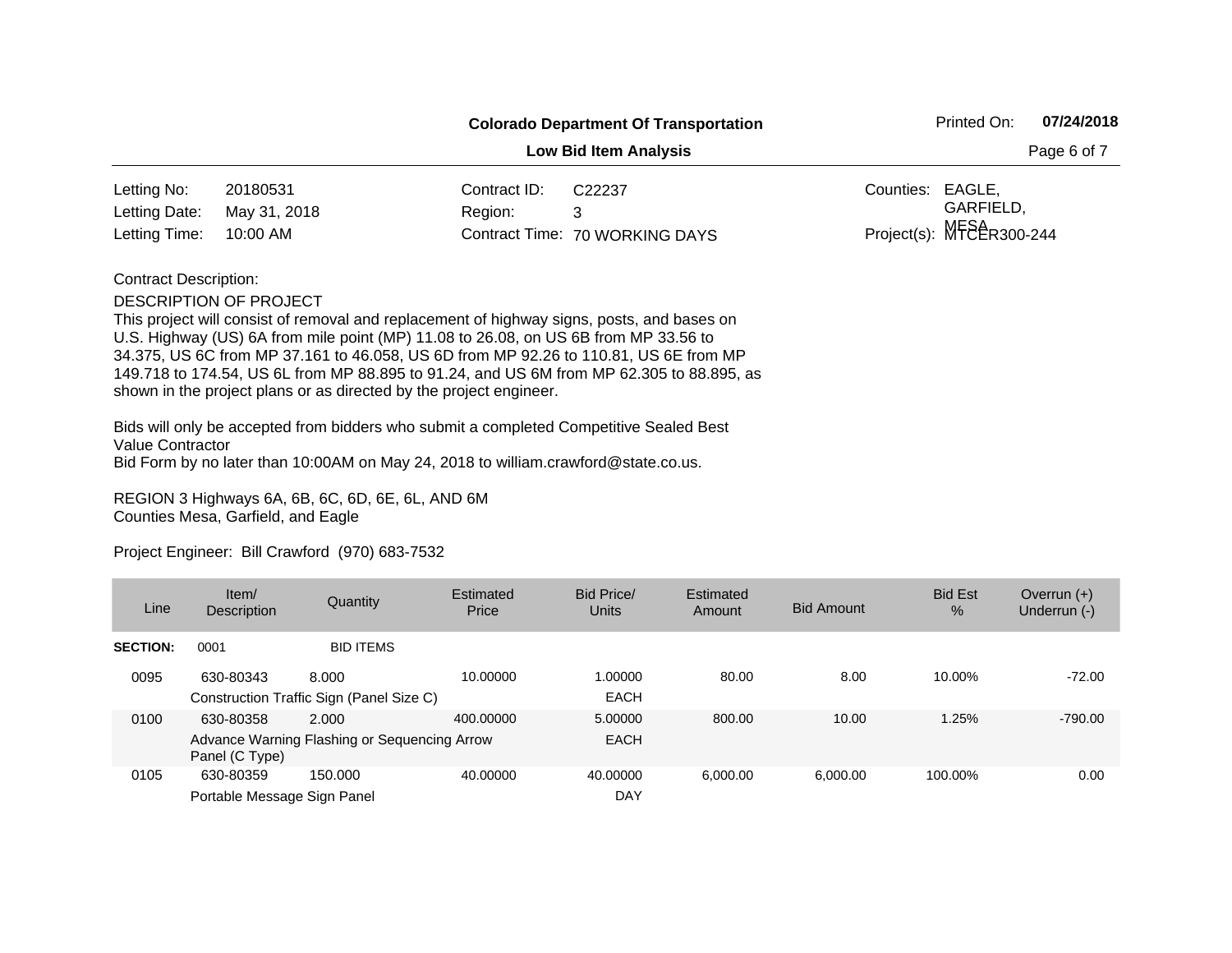| <b>Colorado Department Of Transportation</b> |  |
|----------------------------------------------|--|
|----------------------------------------------|--|

**Low Bid Item Analysis** 

| Page 6 of 7 |  |  |  |
|-------------|--|--|--|
|-------------|--|--|--|

| Letting No:                | 20180531 | Contract ID: | C22237                         | Counties: EAGLE. |                             |
|----------------------------|----------|--------------|--------------------------------|------------------|-----------------------------|
| Letting Date: May 31, 2018 |          | Region: 3    |                                |                  | GARFIELD.                   |
| Letting Time: 10:00 AM     |          |              | Contract Time: 70 WORKING DAYS |                  | Project(s): $MFE\&R300-244$ |

## Contract Description:

#### DESCRIPTION OF PROJECT

This project will consist of removal and replacement of highway signs, posts, and bases on U.S. Highway (US) 6A from mile point (MP) 11.08 to 26.08, on US 6B from MP 33.56 to 34.375, US 6C from MP 37.161 to 46.058, US 6D from MP 92.26 to 110.81, US 6E from MP 149.718 to 174.54, US 6L from MP 88.895 to 91.24, and US 6M from MP 62.305 to 88.895, as shown in the project plans or as directed by the project engineer.

Bids will only be accepted from bidders who submit a completed Competitive Sealed Best Value Contractor Bid Form by no later than 10:00AM on May 24, 2018 to william.crawford@state.co.us.

REGION 3 Highways 6A, 6B, 6C, 6D, 6E, 6L, AND 6M Counties Mesa, Garfield, and Eagle

| Line            | Item/<br><b>Description</b>              | Quantity                                              | Estimated<br>Price | Bid Price/<br><b>Units</b> | Estimated<br>Amount | <b>Bid Amount</b> | <b>Bid Est</b><br>$\%$ | Overrun $(+)$<br>Underrun (-) |
|-----------------|------------------------------------------|-------------------------------------------------------|--------------------|----------------------------|---------------------|-------------------|------------------------|-------------------------------|
| <b>SECTION:</b> | 0001                                     | <b>BID ITEMS</b>                                      |                    |                            |                     |                   |                        |                               |
| 0095            | 630-80343                                | 8.000<br>Construction Traffic Sign (Panel Size C)     | 10.00000           | 1.00000<br><b>EACH</b>     | 80.00               | 8.00              | 10.00%                 | $-72.00$                      |
| 0100            | 630-80358<br>Panel (C Type)              | 2.000<br>Advance Warning Flashing or Sequencing Arrow | 400.00000          | 5.00000<br><b>EACH</b>     | 800.00              | 10.00             | 1.25%                  | $-790.00$                     |
| 0105            | 630-80359<br>Portable Message Sign Panel | 150.000                                               | 40.00000           | 40.00000<br><b>DAY</b>     | 6.000.00            | 6.000.00          | 100.00%                | 0.00                          |